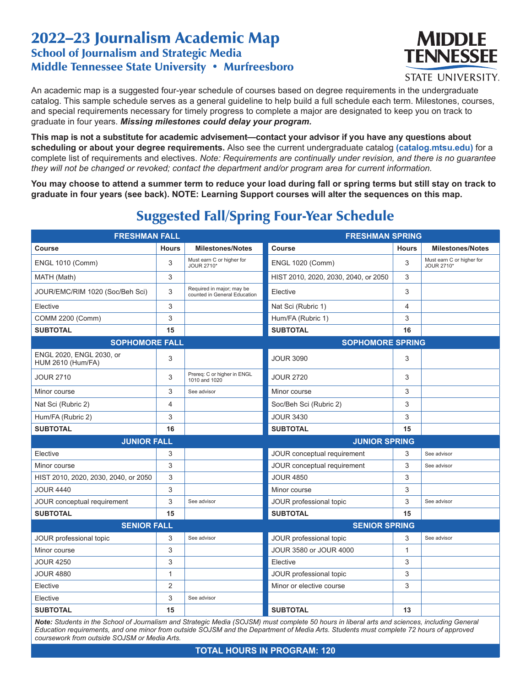## 2022–23 Journalism Academic Map School of Journalism and Strategic Media Middle Tennessee State University • Murfreesboro



**STATE UNIVERSITY.** 

An academic map is a suggested four-year schedule of courses based on degree requirements in the undergraduate catalog. This sample schedule serves as a general guideline to help build a full schedule each term. Milestones, courses, and special requirements necessary for timely progress to complete a major are designated to keep you on track to graduate in four years. *Missing milestones could delay your program.*

**This map is not a substitute for academic advisement—contact your advisor if you have any questions about scheduling or about your degree requirements.** Also see the current undergraduate catalog **(catalog.mtsu.edu)** for a complete list of requirements and electives. *Note: Requirements are continually under revision, and there is no guarantee they will not be changed or revoked; contact the department and/or program area for current information.*

**You may choose to attend a summer term to reduce your load during fall or spring terms but still stay on track to graduate in four years (see back). NOTE: Learning Support courses will alter the sequences on this map.**

| <b>FRESHMAN FALL</b>                                 |                |                                                           | <b>FRESHMAN SPRING</b>               |              |                                         |  |
|------------------------------------------------------|----------------|-----------------------------------------------------------|--------------------------------------|--------------|-----------------------------------------|--|
| <b>Course</b>                                        | <b>Hours</b>   | <b>Milestones/Notes</b>                                   | Course                               | <b>Hours</b> | <b>Milestones/Notes</b>                 |  |
| <b>ENGL 1010 (Comm)</b>                              | 3              | Must earn C or higher for<br>JOUR 2710*                   | <b>ENGL 1020 (Comm)</b>              | 3            | Must earn C or higher for<br>JOUR 2710* |  |
| MATH (Math)                                          | 3              |                                                           | HIST 2010, 2020, 2030, 2040, or 2050 | 3            |                                         |  |
| JOUR/EMC/RIM 1020 (Soc/Beh Sci)                      | 3              | Required in major; may be<br>counted in General Education | Elective                             | 3            |                                         |  |
| Elective                                             | 3              |                                                           | Nat Sci (Rubric 1)                   | 4            |                                         |  |
| COMM 2200 (Comm)                                     | 3              |                                                           | Hum/FA (Rubric 1)                    | 3            |                                         |  |
| <b>SUBTOTAL</b>                                      | 15             |                                                           | <b>SUBTOTAL</b>                      | 16           |                                         |  |
| <b>SOPHOMORE FALL</b>                                |                |                                                           | <b>SOPHOMORE SPRING</b>              |              |                                         |  |
| ENGL 2020, ENGL 2030, or<br><b>HUM 2610 (Hum/FA)</b> | 3              |                                                           | <b>JOUR 3090</b>                     | 3            |                                         |  |
| <b>JOUR 2710</b>                                     | 3              | Prereq: C or higher in ENGL<br>1010 and 1020              | <b>JOUR 2720</b>                     | 3            |                                         |  |
| Minor course                                         | 3              | See advisor                                               | Minor course                         | 3            |                                         |  |
| Nat Sci (Rubric 2)                                   | 4              |                                                           | Soc/Beh Sci (Rubric 2)               | 3            |                                         |  |
| Hum/FA (Rubric 2)                                    | 3              |                                                           | <b>JOUR 3430</b>                     | 3            |                                         |  |
| <b>SUBTOTAL</b>                                      | 16             |                                                           | <b>SUBTOTAL</b>                      | 15           |                                         |  |
| <b>JUNIOR FALL</b>                                   |                | <b>JUNIOR SPRING</b>                                      |                                      |              |                                         |  |
| Elective                                             | 3              |                                                           | JOUR conceptual requirement          | 3            | See advisor                             |  |
| Minor course                                         | 3              |                                                           | JOUR conceptual requirement          | 3            | See advisor                             |  |
| HIST 2010, 2020, 2030, 2040, or 2050                 | 3              |                                                           | <b>JOUR 4850</b>                     | 3            |                                         |  |
| <b>JOUR 4440</b>                                     | 3              |                                                           | Minor course                         | 3            |                                         |  |
| JOUR conceptual requirement                          | 3              | See advisor                                               | JOUR professional topic              | 3            | See advisor                             |  |
| <b>SUBTOTAL</b>                                      | 15             |                                                           | <b>SUBTOTAL</b>                      | 15           |                                         |  |
| <b>SENIOR FALL</b>                                   |                |                                                           | <b>SENIOR SPRING</b>                 |              |                                         |  |
| JOUR professional topic                              | 3              | See advisor                                               | JOUR professional topic              | 3            | See advisor                             |  |
| Minor course                                         | 3              |                                                           | JOUR 3580 or JOUR 4000               | 1            |                                         |  |
| <b>JOUR 4250</b>                                     | 3              |                                                           | Elective                             | 3            |                                         |  |
| <b>JOUR 4880</b>                                     | $\mathbf{1}$   |                                                           | JOUR professional topic              | 3            |                                         |  |
| Elective                                             | $\overline{2}$ |                                                           | Minor or elective course             | 3            |                                         |  |
| Elective                                             | 3              | See advisor                                               |                                      |              |                                         |  |
| <b>SUBTOTAL</b>                                      | 15             |                                                           | <b>SUBTOTAL</b>                      | 13           |                                         |  |

## Suggested Fall/Spring Four-Year Schedule

*Note: Students in the School of Journalism and Strategic Media (SOJSM) must complete 50 hours in liberal arts and sciences, including General Education requirements, and one minor from outside SOJSM and the Department of Media Arts. Students must complete 72 hours of approved coursework from outside SOJSM or Media Arts.*